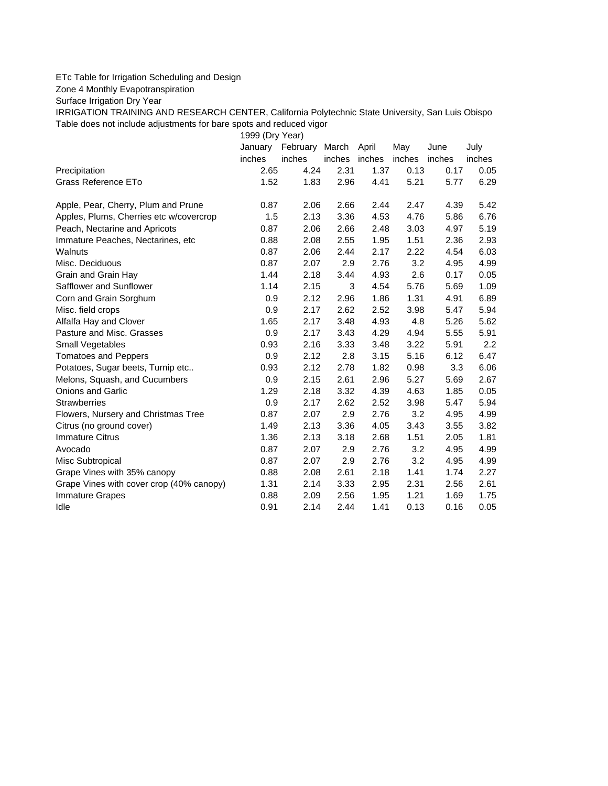## ETc Table for Irrigation Scheduling and Design

Zone 4 Monthly Evapotranspiration

Surface Irrigation Dry Year

IRRIGATION TRAINING AND RESEARCH CENTER, California Polytechnic State University, San Luis Obispo Table does not include adjustments for bare spots and reduced vigor

1999 (Dry Year) January February March April May June July inches inches inches inches inches inches inches Precipitation 2.65 4.24 2.31 1.37 0.13 0.17 0.05 Grass Reference ETo **1.52** 1.83 2.96 4.41 5.21 5.77 6.29 Apple, Pear, Cherry, Plum and Prune **0.87** 2.06 2.66 2.44 2.47 4.39 5.42 Apples, Plums, Cherries etc w/covercrop 1.5 2.13 3.36 4.53 4.76 5.86 6.76 Peach, Nectarine and Apricots 0.87 2.06 2.66 2.48 3.03 4.97 5.19 Immature Peaches, Nectarines, etc 0.88 2.08 2.55 1.95 1.51 2.36 2.93 Walnuts 0.87 2.06 2.44 2.17 2.22 4.54 6.03 Misc. Deciduous 0.87 2.07 2.9 2.76 3.2 4.95 4.99 Grain and Grain Hay 1.44 2.18 3.44 4.93 2.6 0.17 0.05 Safflower and Sunflower 1.14 2.15 3 4.54 5.76 5.69 1.09 Corn and Grain Sorghum 0.9 2.12 2.96 1.86 1.31 4.91 6.89 Misc. field crops 0.9 2.17 2.62 2.52 3.98 5.47 5.94 Alfalfa Hay and Clover 1.65 2.17 3.48 4.93 4.8 5.26 5.62 Pasture and Misc. Grasses 0.9 2.17 3.43 4.29 4.94 5.55 5.91 Small Vegetables 0.93 2.16 3.33 3.48 3.22 5.91 2.2 Tomatoes and Peppers 0.9 2.12 2.8 3.15 5.16 6.12 6.47 Potatoes, Sugar beets, Turnip etc.. 0.93 2.12 2.78 1.82 0.98 3.3 6.06 Melons, Squash, and Cucumbers 0.9 2.15 2.61 2.96 5.27 5.69 2.67 Onions and Garlic 1.29 2.18 3.32 4.39 4.63 1.85 0.05 Strawberries 0.9 2.17 2.62 2.52 3.98 5.47 5.94 Flowers, Nursery and Christmas Tree 0.87 2.07 2.9 2.76 3.2 4.95 4.99 Citrus (no ground cover) 1.49 2.13 3.36 4.05 3.43 3.55 3.82 Immature Citrus 1.36 2.13 3.18 2.68 1.51 2.05 1.81 Avocado 0.87 2.07 2.9 2.76 3.2 4.95 4.99 Misc Subtropical 0.87 2.07 2.9 2.76 3.2 4.95 4.99 Grape Vines with 35% canopy  $0.88$  2.08 2.61 2.18 1.41 1.74 2.27 Grape Vines with cover crop (40% canopy) 1.31 2.14 3.33 2.95 2.31 2.56 2.61 Immature Grapes 0.88 2.09 2.56 1.95 1.21 1.69 1.75 Idle 0.91 2.14 2.44 1.41 0.13 0.16 0.05